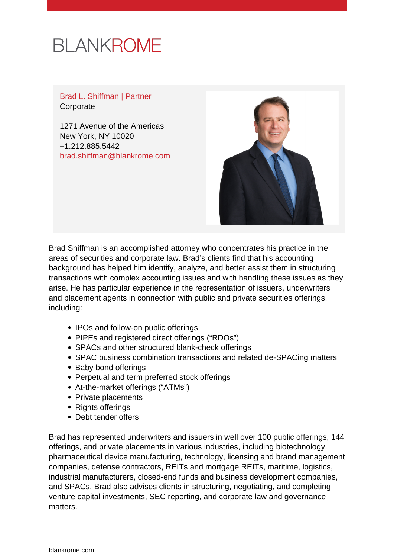# **BLANKROME**

Brad L. Shiffman | Partner **Corporate** 

1271 Avenue of the Americas New York, NY 10020 +1.212.885.5442 [brad.shiffman@blankrome.com](mailto:brad.shiffman@blankrome.com)



Brad Shiffman is an accomplished attorney who concentrates his practice in the areas of securities and corporate law. Brad's clients find that his accounting background has helped him identify, analyze, and better assist them in structuring transactions with complex accounting issues and with handling these issues as they arise. He has particular experience in the representation of issuers, underwriters and placement agents in connection with public and private securities offerings, including:

- IPOs and follow-on public offerings
- PIPEs and registered direct offerings ("RDOs")
- SPACs and other structured blank-check offerings
- SPAC business combination transactions and related de-SPACing matters
- Baby bond offerings
- Perpetual and term preferred stock offerings
- At-the-market offerings ("ATMs")
- Private placements
- Rights offerings
- Debt tender offers

Brad has represented underwriters and issuers in well over 100 public offerings, 144 offerings, and private placements in various industries, including biotechnology, pharmaceutical device manufacturing, technology, licensing and brand management companies, defense contractors, REITs and mortgage REITs, maritime, logistics, industrial manufacturers, closed-end funds and business development companies, and SPACs. Brad also advises clients in structuring, negotiating, and completing venture capital investments, SEC reporting, and corporate law and governance matters.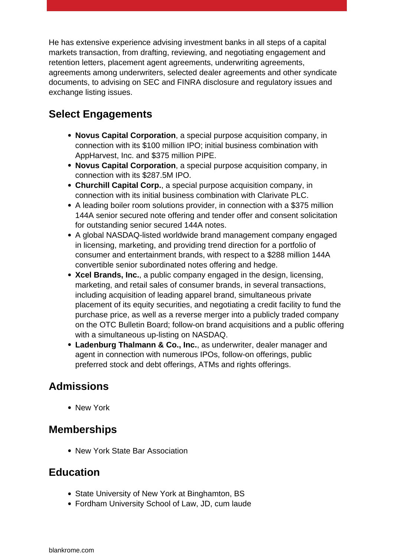He has extensive experience advising investment banks in all steps of a capital markets transaction, from drafting, reviewing, and negotiating engagement and retention letters, placement agent agreements, underwriting agreements, agreements among underwriters, selected dealer agreements and other syndicate documents, to advising on SEC and FINRA disclosure and regulatory issues and exchange listing issues.

### **Select Engagements**

- **Novus Capital Corporation**, a special purpose acquisition company, in connection with its \$100 million IPO; initial business combination with AppHarvest, Inc. and \$375 million PIPE.
- **Novus Capital Corporation**, a special purpose acquisition company, in connection with its \$287.5M IPO.
- **Churchill Capital Corp.**, a special purpose acquisition company, in connection with its initial business combination with Clarivate PLC.
- A leading boiler room solutions provider, in connection with a \$375 million 144A senior secured note offering and tender offer and consent solicitation for outstanding senior secured 144A notes.
- A global NASDAQ-listed worldwide brand management company engaged in licensing, marketing, and providing trend direction for a portfolio of consumer and entertainment brands, with respect to a \$288 million 144A convertible senior subordinated notes offering and hedge.
- **Xcel Brands, Inc.**, a public company engaged in the design, licensing, marketing, and retail sales of consumer brands, in several transactions, including acquisition of leading apparel brand, simultaneous private placement of its equity securities, and negotiating a credit facility to fund the purchase price, as well as a reverse merger into a publicly traded company on the OTC Bulletin Board; follow-on brand acquisitions and a public offering with a simultaneous up-listing on NASDAQ.
- **Ladenburg Thalmann & Co., Inc.**, as underwriter, dealer manager and agent in connection with numerous IPOs, follow-on offerings, public preferred stock and debt offerings, ATMs and rights offerings.

## **Admissions**

• New York

#### **Memberships**

• New York State Bar Association

#### **Education**

- State University of New York at Binghamton, BS
- Fordham University School of Law, JD, cum laude